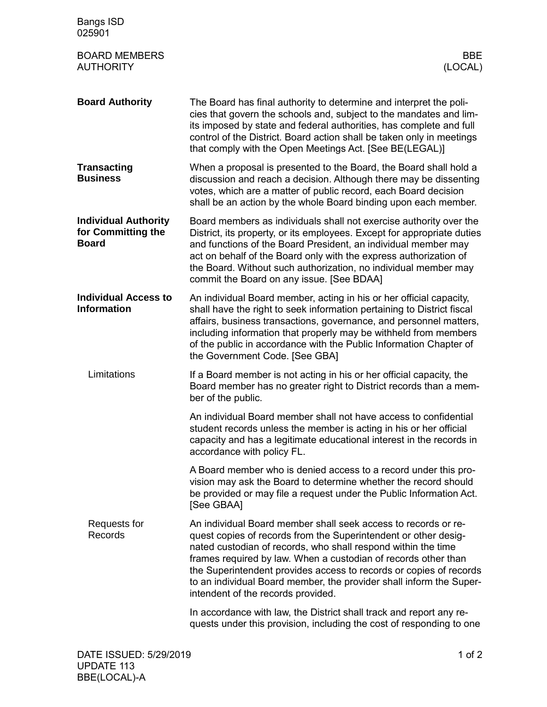| <b>Bangs ISD</b><br>025901                                        |                                                                                                                                                                                                                                                                                                                                                                                                                                                         |
|-------------------------------------------------------------------|---------------------------------------------------------------------------------------------------------------------------------------------------------------------------------------------------------------------------------------------------------------------------------------------------------------------------------------------------------------------------------------------------------------------------------------------------------|
| <b>BOARD MEMBERS</b><br><b>AUTHORITY</b>                          | <b>BBE</b><br>(LOCAL)                                                                                                                                                                                                                                                                                                                                                                                                                                   |
| <b>Board Authority</b>                                            | The Board has final authority to determine and interpret the poli-<br>cies that govern the schools and, subject to the mandates and lim-<br>its imposed by state and federal authorities, has complete and full<br>control of the District. Board action shall be taken only in meetings<br>that comply with the Open Meetings Act. [See BE(LEGAL)]                                                                                                     |
| <b>Transacting</b><br><b>Business</b>                             | When a proposal is presented to the Board, the Board shall hold a<br>discussion and reach a decision. Although there may be dissenting<br>votes, which are a matter of public record, each Board decision<br>shall be an action by the whole Board binding upon each member.                                                                                                                                                                            |
| <b>Individual Authority</b><br>for Committing the<br><b>Board</b> | Board members as individuals shall not exercise authority over the<br>District, its property, or its employees. Except for appropriate duties<br>and functions of the Board President, an individual member may<br>act on behalf of the Board only with the express authorization of<br>the Board. Without such authorization, no individual member may<br>commit the Board on any issue. [See BDAA]                                                    |
| <b>Individual Access to</b><br><b>Information</b>                 | An individual Board member, acting in his or her official capacity,<br>shall have the right to seek information pertaining to District fiscal<br>affairs, business transactions, governance, and personnel matters,<br>including information that properly may be withheld from members<br>of the public in accordance with the Public Information Chapter of<br>the Government Code. [See GBA]                                                         |
| Limitations                                                       | If a Board member is not acting in his or her official capacity, the<br>Board member has no greater right to District records than a mem-<br>ber of the public.                                                                                                                                                                                                                                                                                         |
|                                                                   | An individual Board member shall not have access to confidential<br>student records unless the member is acting in his or her official<br>capacity and has a legitimate educational interest in the records in<br>accordance with policy FL.                                                                                                                                                                                                            |
|                                                                   | A Board member who is denied access to a record under this pro-<br>vision may ask the Board to determine whether the record should<br>be provided or may file a request under the Public Information Act.<br>[See GBAA]                                                                                                                                                                                                                                 |
| Requests for<br>Records                                           | An individual Board member shall seek access to records or re-<br>quest copies of records from the Superintendent or other desig-<br>nated custodian of records, who shall respond within the time<br>frames required by law. When a custodian of records other than<br>the Superintendent provides access to records or copies of records<br>to an individual Board member, the provider shall inform the Super-<br>intendent of the records provided. |
|                                                                   | In accordance with law, the District shall track and report any re-<br>quests under this provision, including the cost of responding to one                                                                                                                                                                                                                                                                                                             |